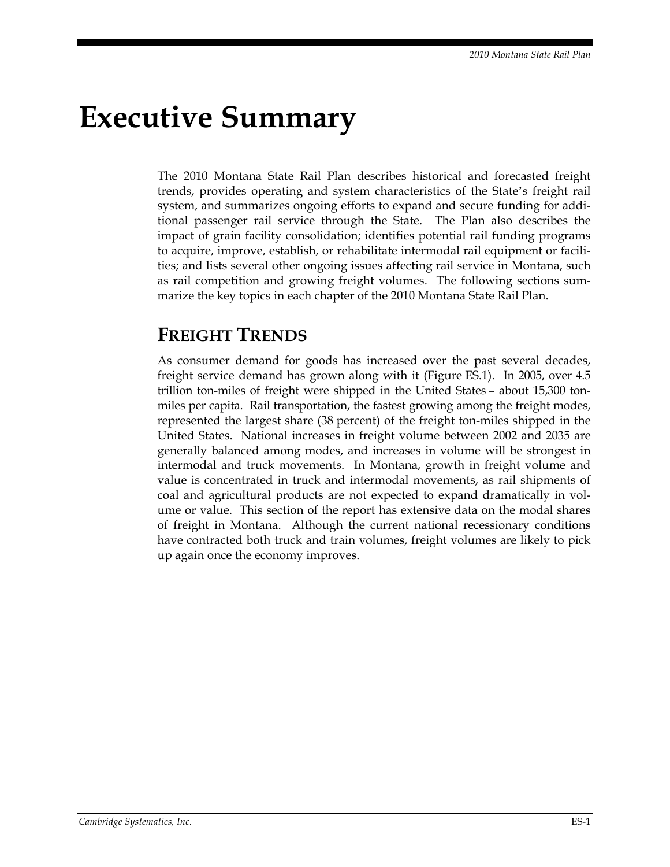# **Executive Summary**

The 2010 Montana State Rail Plan describes historical and forecasted freight trends, provides operating and system characteristics of the State's freight rail system, and summarizes ongoing efforts to expand and secure funding for additional passenger rail service through the State. The Plan also describes the impact of grain facility consolidation; identifies potential rail funding programs to acquire, improve, establish, or rehabilitate intermodal rail equipment or facilities; and lists several other ongoing issues affecting rail service in Montana, such as rail competition and growing freight volumes. The following sections summarize the key topics in each chapter of the 2010 Montana State Rail Plan.

### **FREIGHT TRENDS**

As consumer demand for goods has increased over the past several decades, freight service demand has grown along with it (Figure ES.1). In 2005, over 4.5 trillion ton-miles of freight were shipped in the United States – about 15,300 tonmiles per capita. Rail transportation, the fastest growing among the freight modes, represented the largest share (38 percent) of the freight ton-miles shipped in the United States. National increases in freight volume between 2002 and 2035 are generally balanced among modes, and increases in volume will be strongest in intermodal and truck movements. In Montana, growth in freight volume and value is concentrated in truck and intermodal movements, as rail shipments of coal and agricultural products are not expected to expand dramatically in volume or value. This section of the report has extensive data on the modal shares of freight in Montana. Although the current national recessionary conditions have contracted both truck and train volumes, freight volumes are likely to pick up again once the economy improves.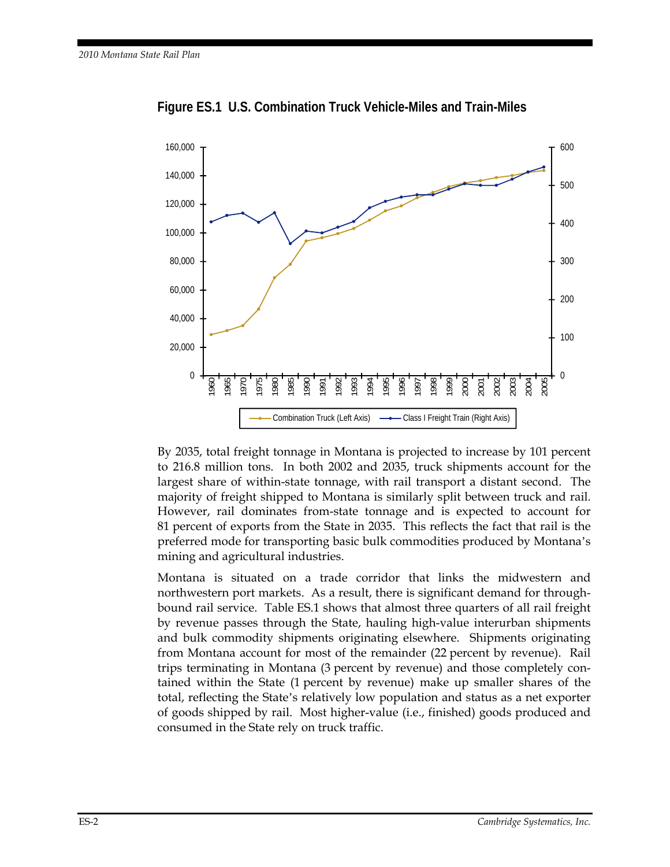

**Figure ES.1 U.S. Combination Truck Vehicle-Miles and Train-Miles** 

By 2035, total freight tonnage in Montana is projected to increase by 101 percent to 216.8 million tons. In both 2002 and 2035, truck shipments account for the largest share of within-state tonnage, with rail transport a distant second. The majority of freight shipped to Montana is similarly split between truck and rail. However, rail dominates from-state tonnage and is expected to account for 81 percent of exports from the State in 2035. This reflects the fact that rail is the preferred mode for transporting basic bulk commodities produced by Montana's mining and agricultural industries.

Montana is situated on a trade corridor that links the midwestern and northwestern port markets. As a result, there is significant demand for throughbound rail service. Table ES.1 shows that almost three quarters of all rail freight by revenue passes through the State, hauling high-value interurban shipments and bulk commodity shipments originating elsewhere. Shipments originating from Montana account for most of the remainder (22 percent by revenue). Rail trips terminating in Montana (3 percent by revenue) and those completely contained within the State (1 percent by revenue) make up smaller shares of the total, reflecting the State's relatively low population and status as a net exporter of goods shipped by rail. Most higher-value (i.e., finished) goods produced and consumed in the State rely on truck traffic.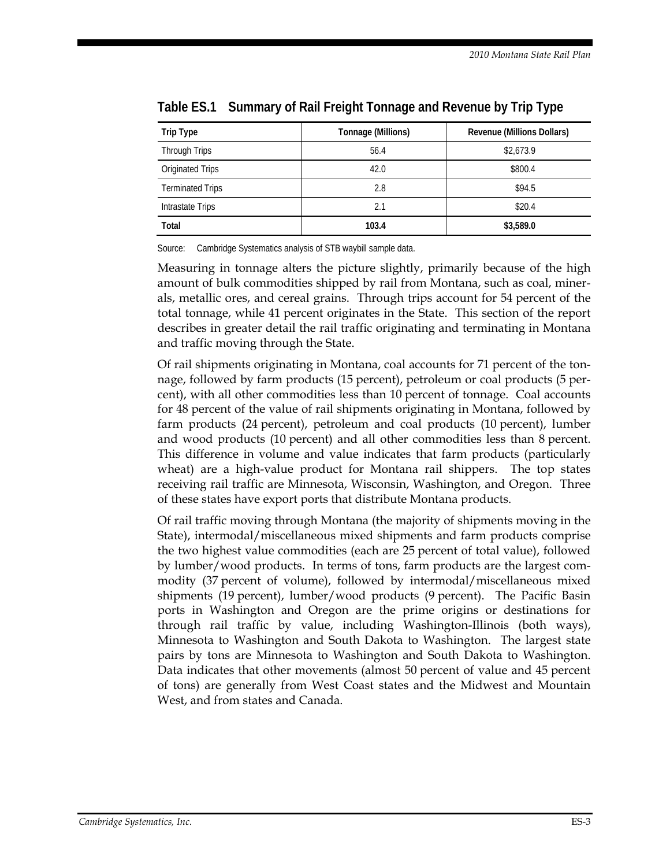| Trip Type               | Tonnage (Millions) | Revenue (Millions Dollars) |
|-------------------------|--------------------|----------------------------|
| Through Trips           | 56.4               | \$2,673.9                  |
| Originated Trips        | 42.0               | \$800.4                    |
| <b>Terminated Trips</b> | 2.8                | \$94.5                     |
| Intrastate Trips        | 2.1                | \$20.4                     |
| Total                   | 103.4              | \$3,589.0                  |

**Table ES.1 Summary of Rail Freight Tonnage and Revenue by Trip Type** 

Source: Cambridge Systematics analysis of STB waybill sample data.

Measuring in tonnage alters the picture slightly, primarily because of the high amount of bulk commodities shipped by rail from Montana, such as coal, minerals, metallic ores, and cereal grains. Through trips account for 54 percent of the total tonnage, while 41 percent originates in the State. This section of the report describes in greater detail the rail traffic originating and terminating in Montana and traffic moving through the State.

Of rail shipments originating in Montana, coal accounts for 71 percent of the tonnage, followed by farm products (15 percent), petroleum or coal products (5 percent), with all other commodities less than 10 percent of tonnage. Coal accounts for 48 percent of the value of rail shipments originating in Montana, followed by farm products (24 percent), petroleum and coal products (10 percent), lumber and wood products (10 percent) and all other commodities less than 8 percent. This difference in volume and value indicates that farm products (particularly wheat) are a high-value product for Montana rail shippers. The top states receiving rail traffic are Minnesota, Wisconsin, Washington, and Oregon. Three of these states have export ports that distribute Montana products.

Of rail traffic moving through Montana (the majority of shipments moving in the State), intermodal/miscellaneous mixed shipments and farm products comprise the two highest value commodities (each are 25 percent of total value), followed by lumber/wood products. In terms of tons, farm products are the largest commodity (37 percent of volume), followed by intermodal/miscellaneous mixed shipments (19 percent), lumber/wood products (9 percent). The Pacific Basin ports in Washington and Oregon are the prime origins or destinations for through rail traffic by value, including Washington-Illinois (both ways), Minnesota to Washington and South Dakota to Washington. The largest state pairs by tons are Minnesota to Washington and South Dakota to Washington. Data indicates that other movements (almost 50 percent of value and 45 percent of tons) are generally from West Coast states and the Midwest and Mountain West, and from states and Canada.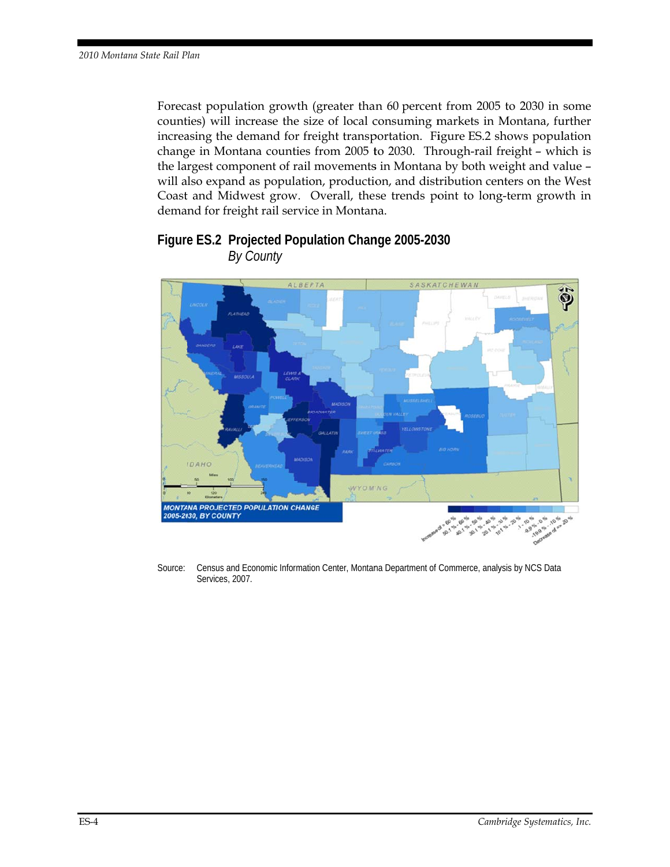Forecast population growth (greater than 60 percent from 2005 to 2030 in some counties) will increase the size of local consuming markets in Montana, further increasing the demand for freight transportation. Figure ES.2 shows population change in Montana counties from 2005 to 2030. Through-rail freight - which is the largest component of rail movements in Montana by both weight and value will also expand as population, production, and distribution centers on the West Coast and Midwest grow. Overall, these trends point to long-term growth in demand for freight rail service in Montana.



### Figure ES.2 Projected Population Change 2005-2030 **By County**

Census and Economic Information Center, Montana Department of Commerce, analysis by NCS Data Source: Services, 2007.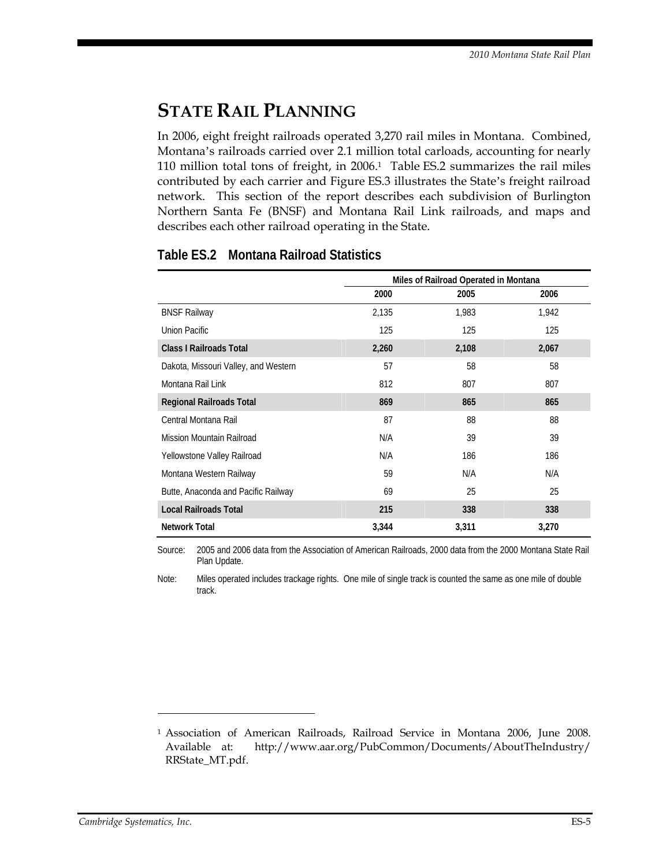# **STATE RAIL PLANNING**

In 2006, eight freight railroads operated 3,270 rail miles in Montana. Combined, Montana's railroads carried over 2.1 million total carloads, accounting for nearly 110 million total tons of freight, in 2006.1 Table ES.2 summarizes the rail miles contributed by each carrier and Figure ES.3 illustrates the State's freight railroad network. This section of the report describes each subdivision of Burlington Northern Santa Fe (BNSF) and Montana Rail Link railroads, and maps and describes each other railroad operating in the State.

|                                      | Miles of Railroad Operated in Montana |       |       |
|--------------------------------------|---------------------------------------|-------|-------|
|                                      | 2000                                  | 2005  | 2006  |
| <b>BNSF Railway</b>                  | 2,135                                 | 1,983 | 1,942 |
| <b>Union Pacific</b>                 | 125                                   | 125   | 125   |
| <b>Class I Railroads Total</b>       | 2,260                                 | 2,108 | 2,067 |
| Dakota, Missouri Valley, and Western | 57                                    | 58    | 58    |
| Montana Rail Link                    | 812                                   | 807   | 807   |
| <b>Regional Railroads Total</b>      | 869                                   | 865   | 865   |
| Central Montana Rail                 | 87                                    | 88    | 88    |
| Mission Mountain Railroad            | N/A                                   | 39    | 39    |
| Yellowstone Valley Railroad          | N/A                                   | 186   | 186   |
| Montana Western Railway              | 59                                    | N/A   | N/A   |
| Butte, Anaconda and Pacific Railway  | 69                                    | 25    | 25    |
| <b>Local Railroads Total</b>         | 215                                   | 338   | 338   |
| <b>Network Total</b>                 | 3,344                                 | 3,311 | 3,270 |

#### **Table ES.2 Montana Railroad Statistics**

Source: 2005 and 2006 data from the Association of American Railroads, 2000 data from the 2000 Montana State Rail Plan Update.

Note: Miles operated includes trackage rights. One mile of single track is counted the same as one mile of double track.

<sup>1</sup> Association of American Railroads, Railroad Service in Montana 2006, June 2008. Available at: http://www.aar.org/PubCommon/Documents/AboutTheIndustry/ RRState\_MT.pdf.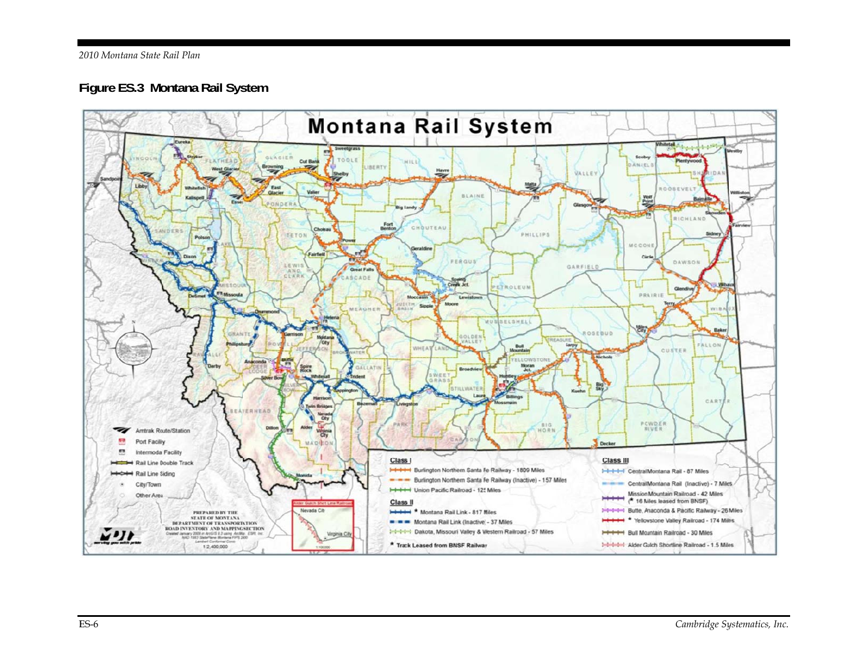### Figure ES.3 Montana Rail System

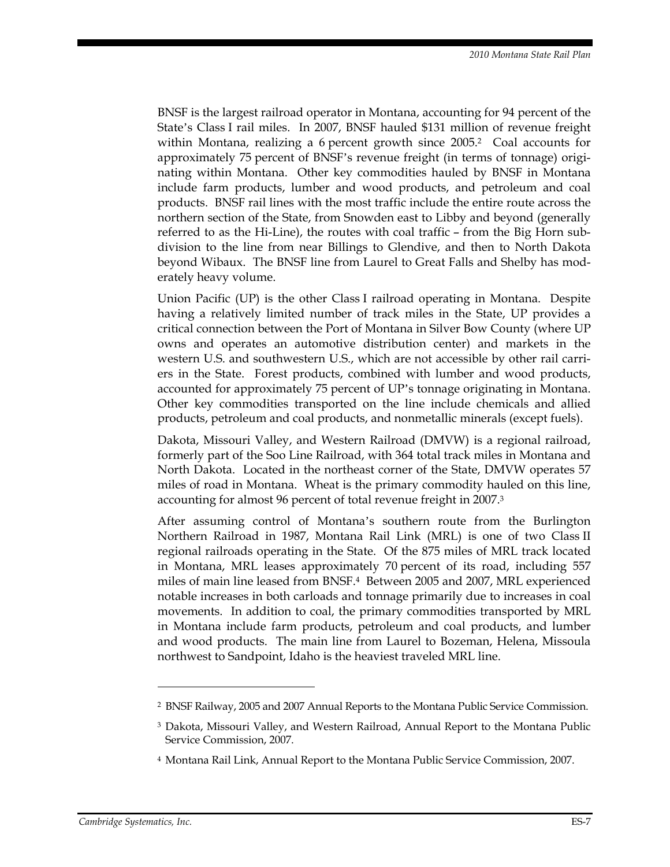BNSF is the largest railroad operator in Montana, accounting for 94 percent of the State's Class I rail miles. In 2007, BNSF hauled \$131 million of revenue freight within Montana, realizing a 6 percent growth since 2005.<sup>2</sup> Coal accounts for approximately 75 percent of BNSF's revenue freight (in terms of tonnage) originating within Montana. Other key commodities hauled by BNSF in Montana include farm products, lumber and wood products, and petroleum and coal products. BNSF rail lines with the most traffic include the entire route across the northern section of the State, from Snowden east to Libby and beyond (generally referred to as the Hi-Line), the routes with coal traffic – from the Big Horn subdivision to the line from near Billings to Glendive, and then to North Dakota beyond Wibaux. The BNSF line from Laurel to Great Falls and Shelby has moderately heavy volume.

Union Pacific (UP) is the other Class I railroad operating in Montana. Despite having a relatively limited number of track miles in the State, UP provides a critical connection between the Port of Montana in Silver Bow County (where UP owns and operates an automotive distribution center) and markets in the western U.S. and southwestern U.S., which are not accessible by other rail carriers in the State. Forest products, combined with lumber and wood products, accounted for approximately 75 percent of UP's tonnage originating in Montana. Other key commodities transported on the line include chemicals and allied products, petroleum and coal products, and nonmetallic minerals (except fuels).

Dakota, Missouri Valley, and Western Railroad (DMVW) is a regional railroad, formerly part of the Soo Line Railroad, with 364 total track miles in Montana and North Dakota. Located in the northeast corner of the State, DMVW operates 57 miles of road in Montana. Wheat is the primary commodity hauled on this line, accounting for almost 96 percent of total revenue freight in 2007.3

After assuming control of Montana's southern route from the Burlington Northern Railroad in 1987, Montana Rail Link (MRL) is one of two Class II regional railroads operating in the State. Of the 875 miles of MRL track located in Montana, MRL leases approximately 70 percent of its road, including 557 miles of main line leased from BNSF.4 Between 2005 and 2007, MRL experienced notable increases in both carloads and tonnage primarily due to increases in coal movements. In addition to coal, the primary commodities transported by MRL in Montana include farm products, petroleum and coal products, and lumber and wood products. The main line from Laurel to Bozeman, Helena, Missoula northwest to Sandpoint, Idaho is the heaviest traveled MRL line.

<sup>2</sup> BNSF Railway, 2005 and 2007 Annual Reports to the Montana Public Service Commission.

<sup>3</sup> Dakota, Missouri Valley, and Western Railroad, Annual Report to the Montana Public Service Commission, 2007.

<sup>4</sup> Montana Rail Link, Annual Report to the Montana Public Service Commission, 2007.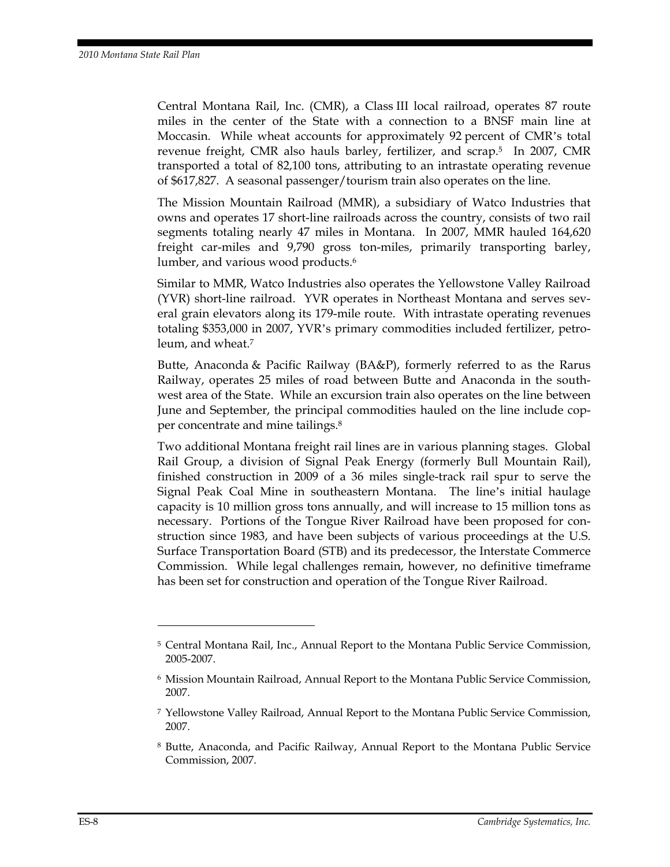Central Montana Rail, Inc. (CMR), a Class III local railroad, operates 87 route miles in the center of the State with a connection to a BNSF main line at Moccasin. While wheat accounts for approximately 92 percent of CMR's total revenue freight, CMR also hauls barley, fertilizer, and scrap.5 In 2007, CMR transported a total of 82,100 tons, attributing to an intrastate operating revenue of \$617,827. A seasonal passenger/tourism train also operates on the line.

The Mission Mountain Railroad (MMR), a subsidiary of Watco Industries that owns and operates 17 short-line railroads across the country, consists of two rail segments totaling nearly 47 miles in Montana. In 2007, MMR hauled 164,620 freight car-miles and 9,790 gross ton-miles, primarily transporting barley, lumber, and various wood products.6

Similar to MMR, Watco Industries also operates the Yellowstone Valley Railroad (YVR) short-line railroad. YVR operates in Northeast Montana and serves several grain elevators along its 179-mile route. With intrastate operating revenues totaling \$353,000 in 2007, YVR's primary commodities included fertilizer, petroleum, and wheat.7

Butte, Anaconda & Pacific Railway (BA&P), formerly referred to as the Rarus Railway, operates 25 miles of road between Butte and Anaconda in the southwest area of the State. While an excursion train also operates on the line between June and September, the principal commodities hauled on the line include copper concentrate and mine tailings.8

Two additional Montana freight rail lines are in various planning stages. Global Rail Group, a division of Signal Peak Energy (formerly Bull Mountain Rail), finished construction in 2009 of a 36 miles single-track rail spur to serve the Signal Peak Coal Mine in southeastern Montana. The line's initial haulage capacity is 10 million gross tons annually, and will increase to 15 million tons as necessary. Portions of the Tongue River Railroad have been proposed for construction since 1983, and have been subjects of various proceedings at the U.S. Surface Transportation Board (STB) and its predecessor, the Interstate Commerce Commission. While legal challenges remain, however, no definitive timeframe has been set for construction and operation of the Tongue River Railroad.

<sup>5</sup> Central Montana Rail, Inc., Annual Report to the Montana Public Service Commission, 2005-2007.

<sup>6</sup> Mission Mountain Railroad, Annual Report to the Montana Public Service Commission, 2007.

<sup>7</sup> Yellowstone Valley Railroad, Annual Report to the Montana Public Service Commission, 2007.

<sup>8</sup> Butte, Anaconda, and Pacific Railway, Annual Report to the Montana Public Service Commission, 2007.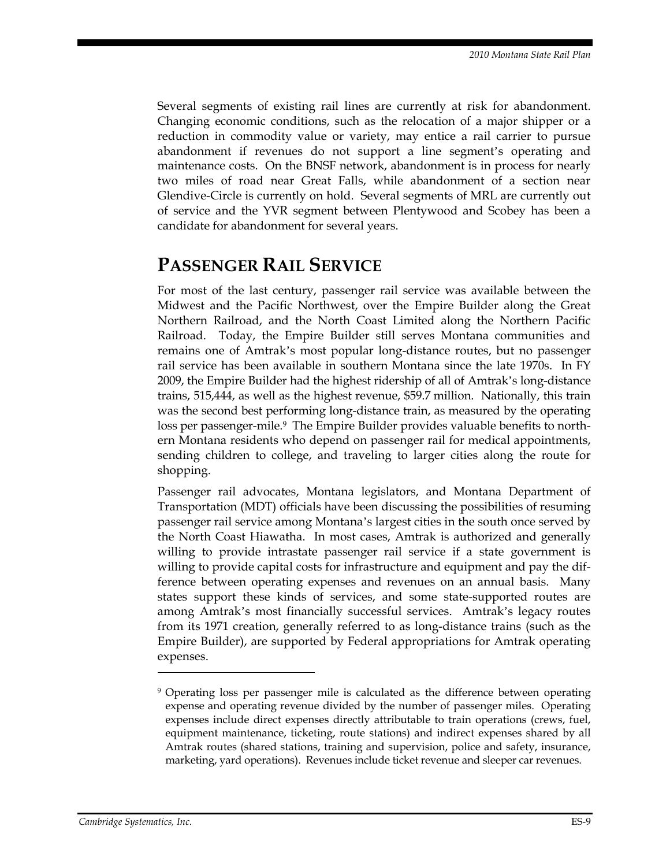Several segments of existing rail lines are currently at risk for abandonment. Changing economic conditions, such as the relocation of a major shipper or a reduction in commodity value or variety, may entice a rail carrier to pursue abandonment if revenues do not support a line segment's operating and maintenance costs. On the BNSF network, abandonment is in process for nearly two miles of road near Great Falls, while abandonment of a section near Glendive-Circle is currently on hold. Several segments of MRL are currently out of service and the YVR segment between Plentywood and Scobey has been a candidate for abandonment for several years.

### **PASSENGER RAIL SERVICE**

For most of the last century, passenger rail service was available between the Midwest and the Pacific Northwest, over the Empire Builder along the Great Northern Railroad, and the North Coast Limited along the Northern Pacific Railroad. Today, the Empire Builder still serves Montana communities and remains one of Amtrak's most popular long-distance routes, but no passenger rail service has been available in southern Montana since the late 1970s. In FY 2009, the Empire Builder had the highest ridership of all of Amtrak's long-distance trains, 515,444, as well as the highest revenue, \$59.7 million. Nationally, this train was the second best performing long-distance train, as measured by the operating loss per passenger-mile.9 The Empire Builder provides valuable benefits to northern Montana residents who depend on passenger rail for medical appointments, sending children to college, and traveling to larger cities along the route for shopping.

Passenger rail advocates, Montana legislators, and Montana Department of Transportation (MDT) officials have been discussing the possibilities of resuming passenger rail service among Montana's largest cities in the south once served by the North Coast Hiawatha. In most cases, Amtrak is authorized and generally willing to provide intrastate passenger rail service if a state government is willing to provide capital costs for infrastructure and equipment and pay the difference between operating expenses and revenues on an annual basis. Many states support these kinds of services, and some state-supported routes are among Amtrak's most financially successful services. Amtrak's legacy routes from its 1971 creation, generally referred to as long-distance trains (such as the Empire Builder), are supported by Federal appropriations for Amtrak operating expenses.

<u>.</u>

<sup>9</sup> Operating loss per passenger mile is calculated as the difference between operating expense and operating revenue divided by the number of passenger miles. Operating expenses include direct expenses directly attributable to train operations (crews, fuel, equipment maintenance, ticketing, route stations) and indirect expenses shared by all Amtrak routes (shared stations, training and supervision, police and safety, insurance, marketing, yard operations). Revenues include ticket revenue and sleeper car revenues.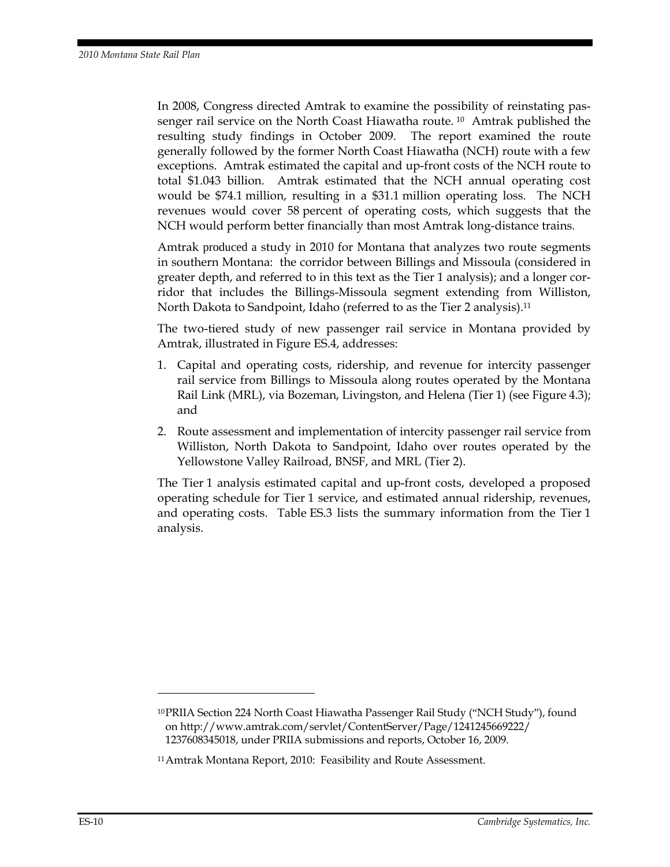In 2008, Congress directed Amtrak to examine the possibility of reinstating passenger rail service on the North Coast Hiawatha route. 10 Amtrak published the resulting study findings in October 2009. The report examined the route generally followed by the former North Coast Hiawatha (NCH) route with a few exceptions. Amtrak estimated the capital and up-front costs of the NCH route to total \$1.043 billion. Amtrak estimated that the NCH annual operating cost would be \$74.1 million, resulting in a \$31.1 million operating loss. The NCH revenues would cover 58 percent of operating costs, which suggests that the NCH would perform better financially than most Amtrak long-distance trains.

Amtrak produced a study in 2010 for Montana that analyzes two route segments in southern Montana: the corridor between Billings and Missoula (considered in greater depth, and referred to in this text as the Tier 1 analysis); and a longer corridor that includes the Billings-Missoula segment extending from Williston, North Dakota to Sandpoint, Idaho (referred to as the Tier 2 analysis).11

The two-tiered study of new passenger rail service in Montana provided by Amtrak, illustrated in Figure ES.4, addresses:

- 1. Capital and operating costs, ridership, and revenue for intercity passenger rail service from Billings to Missoula along routes operated by the Montana Rail Link (MRL), via Bozeman, Livingston, and Helena (Tier 1) (see Figure 4.3); and
- 2. Route assessment and implementation of intercity passenger rail service from Williston, North Dakota to Sandpoint, Idaho over routes operated by the Yellowstone Valley Railroad, BNSF, and MRL (Tier 2).

The Tier 1 analysis estimated capital and up-front costs, developed a proposed operating schedule for Tier 1 service, and estimated annual ridership, revenues, and operating costs. Table ES.3 lists the summary information from the Tier 1 analysis.

<sup>10</sup> PRIIA Section 224 North Coast Hiawatha Passenger Rail Study ("NCH Study"), found on http://www.amtrak.com/servlet/ContentServer/Page/1241245669222/ 1237608345018, under PRIIA submissions and reports, October 16, 2009.

<sup>11</sup> Amtrak Montana Report, 2010: Feasibility and Route Assessment.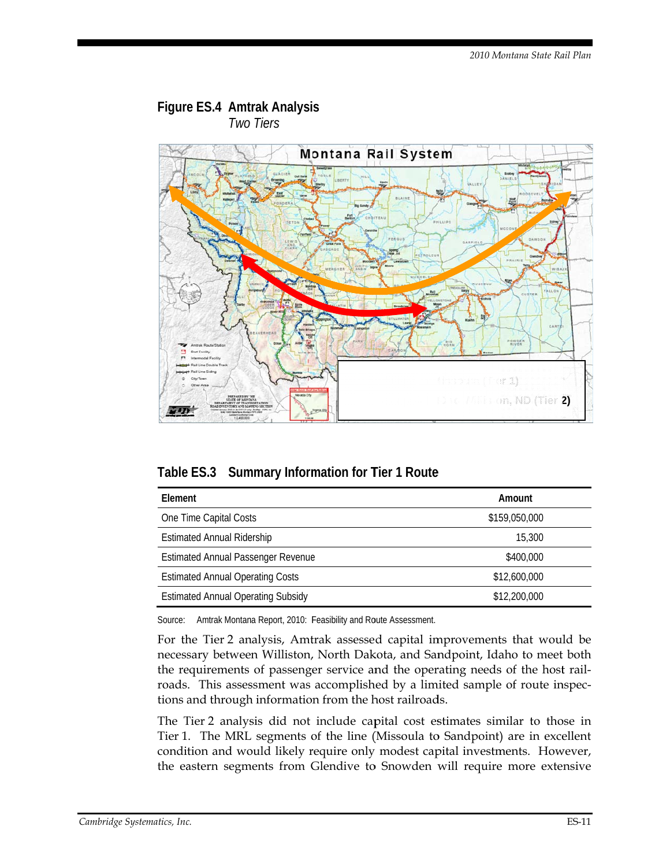

#### Figure ES.4 Amtrak Analysis **Two Tiers**

Table ES.3 Summary Information for Tier 1 Route

| Element                                   | Amount        |  |
|-------------------------------------------|---------------|--|
| One Time Capital Costs                    | \$159,050,000 |  |
| <b>Estimated Annual Ridership</b>         | 15,300        |  |
| <b>Estimated Annual Passenger Revenue</b> | \$400,000     |  |
| <b>Estimated Annual Operating Costs</b>   | \$12,600,000  |  |
| <b>Estimated Annual Operating Subsidy</b> | \$12,200,000  |  |

Source: Amtrak Montana Report, 2010: Feasibility and Route Assessment.

For the Tier 2 analysis, Amtrak assessed capital improvements that would be necessary between Williston, North Dakota, and Sandpoint, Idaho to meet both the requirements of passenger service and the operating needs of the host railroads. This assessment was accomplished by a limited sample of route inspections and through information from the host railroads.

The Tier 2 analysis did not include capital cost estimates similar to those in Tier 1. The MRL segments of the line (Missoula to Sandpoint) are in excellent condition and would likely require only modest capital investments. However, the eastern segments from Glendive to Snowden will require more extensive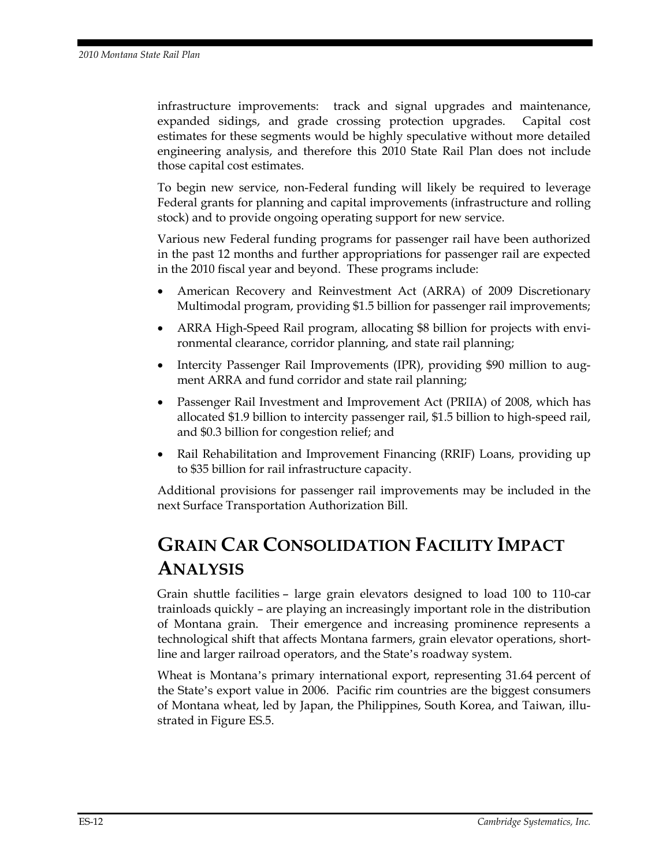infrastructure improvements: track and signal upgrades and maintenance, expanded sidings, and grade crossing protection upgrades. Capital cost estimates for these segments would be highly speculative without more detailed engineering analysis, and therefore this 2010 State Rail Plan does not include those capital cost estimates.

To begin new service, non-Federal funding will likely be required to leverage Federal grants for planning and capital improvements (infrastructure and rolling stock) and to provide ongoing operating support for new service.

Various new Federal funding programs for passenger rail have been authorized in the past 12 months and further appropriations for passenger rail are expected in the 2010 fiscal year and beyond. These programs include:

- American Recovery and Reinvestment Act (ARRA) of 2009 Discretionary Multimodal program, providing \$1.5 billion for passenger rail improvements;
- ARRA High-Speed Rail program, allocating \$8 billion for projects with environmental clearance, corridor planning, and state rail planning;
- Intercity Passenger Rail Improvements (IPR), providing \$90 million to augment ARRA and fund corridor and state rail planning;
- Passenger Rail Investment and Improvement Act (PRIIA) of 2008, which has allocated \$1.9 billion to intercity passenger rail, \$1.5 billion to high-speed rail, and \$0.3 billion for congestion relief; and
- Rail Rehabilitation and Improvement Financing (RRIF) Loans, providing up to \$35 billion for rail infrastructure capacity.

Additional provisions for passenger rail improvements may be included in the next Surface Transportation Authorization Bill.

# **GRAIN CAR CONSOLIDATION FACILITY IMPACT ANALYSIS**

Grain shuttle facilities – large grain elevators designed to load 100 to 110-car trainloads quickly – are playing an increasingly important role in the distribution of Montana grain. Their emergence and increasing prominence represents a technological shift that affects Montana farmers, grain elevator operations, shortline and larger railroad operators, and the State's roadway system.

Wheat is Montana's primary international export, representing 31.64 percent of the State's export value in 2006. Pacific rim countries are the biggest consumers of Montana wheat, led by Japan, the Philippines, South Korea, and Taiwan, illustrated in Figure ES.5.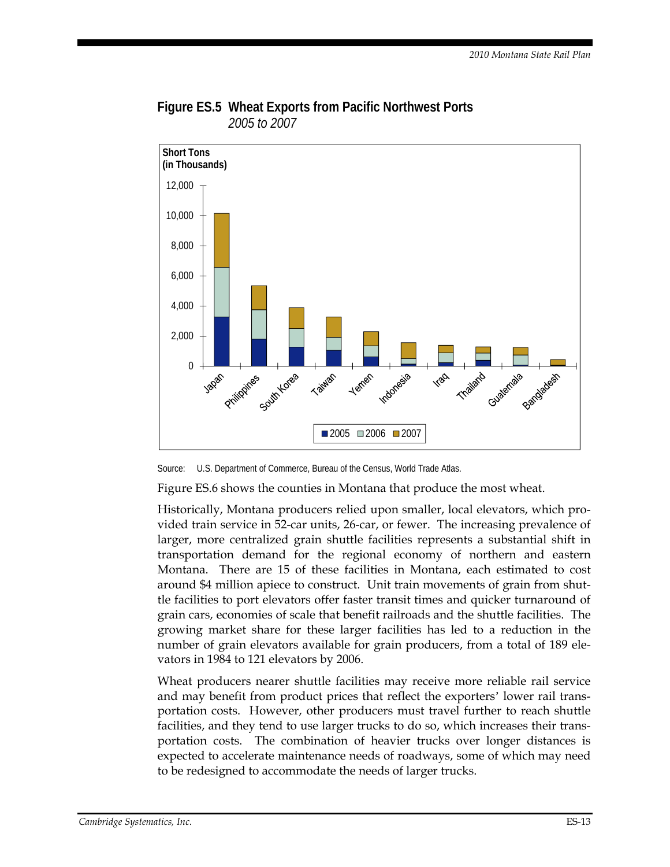

**Figure ES.5 Wheat Exports from Pacific Northwest Ports**  *2005 to 2007* 

Source: U.S. Department of Commerce, Bureau of the Census, World Trade Atlas.

Figure ES.6 shows the counties in Montana that produce the most wheat.

Historically, Montana producers relied upon smaller, local elevators, which provided train service in 52-car units, 26-car, or fewer. The increasing prevalence of larger, more centralized grain shuttle facilities represents a substantial shift in transportation demand for the regional economy of northern and eastern Montana. There are 15 of these facilities in Montana, each estimated to cost around \$4 million apiece to construct. Unit train movements of grain from shuttle facilities to port elevators offer faster transit times and quicker turnaround of grain cars, economies of scale that benefit railroads and the shuttle facilities. The growing market share for these larger facilities has led to a reduction in the number of grain elevators available for grain producers, from a total of 189 elevators in 1984 to 121 elevators by 2006.

Wheat producers nearer shuttle facilities may receive more reliable rail service and may benefit from product prices that reflect the exporters' lower rail transportation costs. However, other producers must travel further to reach shuttle facilities, and they tend to use larger trucks to do so, which increases their transportation costs. The combination of heavier trucks over longer distances is expected to accelerate maintenance needs of roadways, some of which may need to be redesigned to accommodate the needs of larger trucks.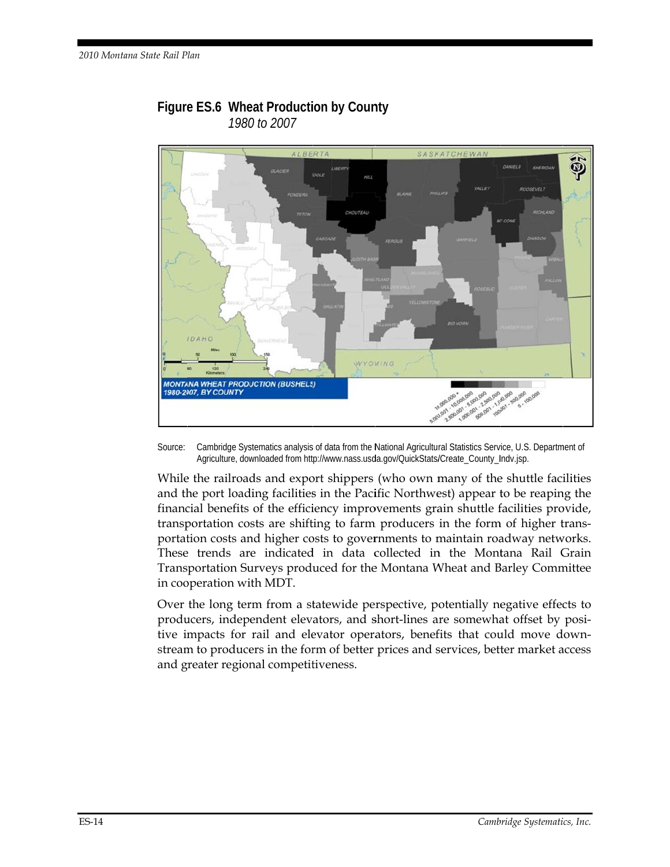

### Figure ES.6 Wheat Production by County 1980 to 2007

Source: Cambridge Systematics analysis of data from the National Agricultural Statistics Service, U.S. Department of Agriculture, downloaded from http://www.nass.usda.gov/QuickStats/Create\_County\_Indv.jsp.

While the railroads and export shippers (who own many of the shuttle facilities and the port loading facilities in the Pacific Northwest) appear to be reaping the financial benefits of the efficiency improvements grain shuttle facilities provide, transportation costs are shifting to farm producers in the form of higher transportation costs and higher costs to governments to maintain roadway networks. These trends are indicated in data collected in the Montana Rail Grain Transportation Surveys produced for the Montana Wheat and Barley Committee in cooperation with MDT.

Over the long term from a statewide perspective, potentially negative effects to producers, independent elevators, and short-lines are somewhat offset by positive impacts for rail and elevator operators, benefits that could move downstream to producers in the form of better prices and services, better market access and greater regional competitiveness.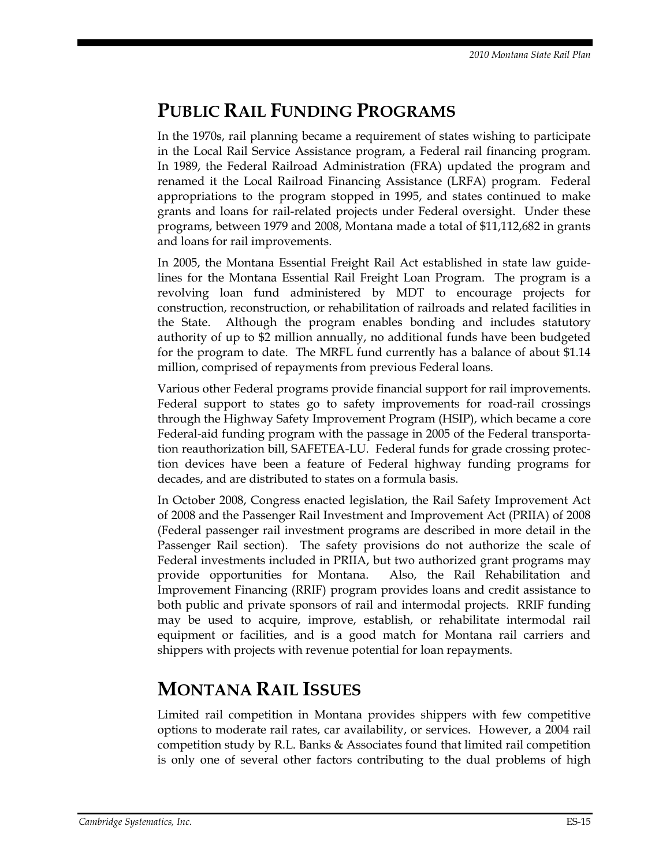## **PUBLIC RAIL FUNDING PROGRAMS**

In the 1970s, rail planning became a requirement of states wishing to participate in the Local Rail Service Assistance program, a Federal rail financing program. In 1989, the Federal Railroad Administration (FRA) updated the program and renamed it the Local Railroad Financing Assistance (LRFA) program. Federal appropriations to the program stopped in 1995, and states continued to make grants and loans for rail-related projects under Federal oversight. Under these programs, between 1979 and 2008, Montana made a total of \$11,112,682 in grants and loans for rail improvements.

In 2005, the Montana Essential Freight Rail Act established in state law guidelines for the Montana Essential Rail Freight Loan Program. The program is a revolving loan fund administered by MDT to encourage projects for construction, reconstruction, or rehabilitation of railroads and related facilities in the State. Although the program enables bonding and includes statutory authority of up to \$2 million annually, no additional funds have been budgeted for the program to date. The MRFL fund currently has a balance of about \$1.14 million, comprised of repayments from previous Federal loans.

Various other Federal programs provide financial support for rail improvements. Federal support to states go to safety improvements for road-rail crossings through the Highway Safety Improvement Program (HSIP), which became a core Federal-aid funding program with the passage in 2005 of the Federal transportation reauthorization bill, SAFETEA-LU. Federal funds for grade crossing protection devices have been a feature of Federal highway funding programs for decades, and are distributed to states on a formula basis.

In October 2008, Congress enacted legislation, the Rail Safety Improvement Act of 2008 and the Passenger Rail Investment and Improvement Act (PRIIA) of 2008 (Federal passenger rail investment programs are described in more detail in the Passenger Rail section). The safety provisions do not authorize the scale of Federal investments included in PRIIA, but two authorized grant programs may provide opportunities for Montana. Also, the Rail Rehabilitation and Improvement Financing (RRIF) program provides loans and credit assistance to both public and private sponsors of rail and intermodal projects. RRIF funding may be used to acquire, improve, establish, or rehabilitate intermodal rail equipment or facilities, and is a good match for Montana rail carriers and shippers with projects with revenue potential for loan repayments.

# **MONTANA RAIL ISSUES**

Limited rail competition in Montana provides shippers with few competitive options to moderate rail rates, car availability, or services. However, a 2004 rail competition study by R.L. Banks & Associates found that limited rail competition is only one of several other factors contributing to the dual problems of high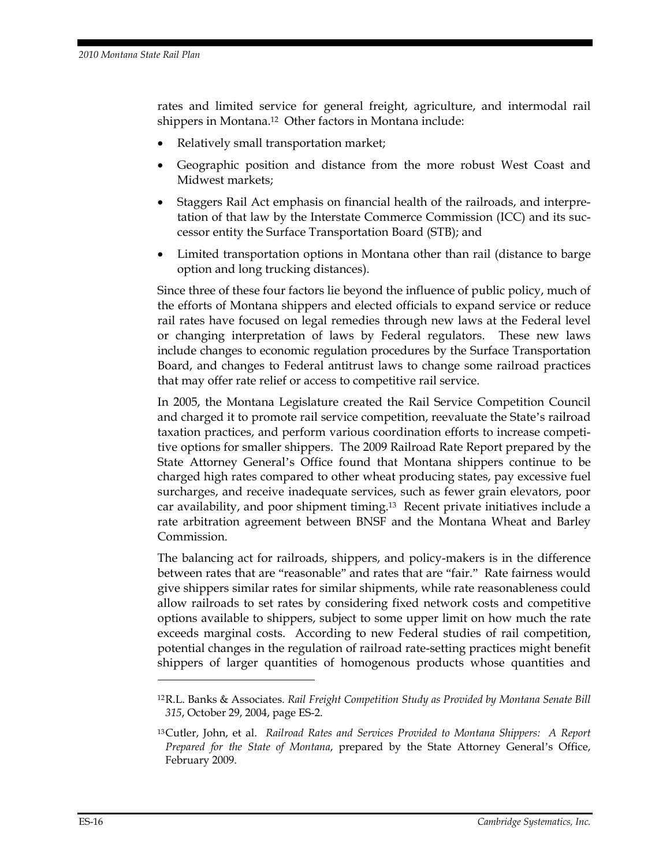rates and limited service for general freight, agriculture, and intermodal rail shippers in Montana.12 Other factors in Montana include:

- Relatively small transportation market;
- Geographic position and distance from the more robust West Coast and Midwest markets;
- Staggers Rail Act emphasis on financial health of the railroads, and interpretation of that law by the Interstate Commerce Commission (ICC) and its successor entity the Surface Transportation Board (STB); and
- Limited transportation options in Montana other than rail (distance to barge option and long trucking distances).

Since three of these four factors lie beyond the influence of public policy, much of the efforts of Montana shippers and elected officials to expand service or reduce rail rates have focused on legal remedies through new laws at the Federal level or changing interpretation of laws by Federal regulators. These new laws include changes to economic regulation procedures by the Surface Transportation Board, and changes to Federal antitrust laws to change some railroad practices that may offer rate relief or access to competitive rail service.

In 2005, the Montana Legislature created the Rail Service Competition Council and charged it to promote rail service competition, reevaluate the State's railroad taxation practices, and perform various coordination efforts to increase competitive options for smaller shippers. The 2009 Railroad Rate Report prepared by the State Attorney General's Office found that Montana shippers continue to be charged high rates compared to other wheat producing states, pay excessive fuel surcharges, and receive inadequate services, such as fewer grain elevators, poor car availability, and poor shipment timing.13 Recent private initiatives include a rate arbitration agreement between BNSF and the Montana Wheat and Barley Commission.

The balancing act for railroads, shippers, and policy-makers is in the difference between rates that are "reasonable" and rates that are "fair." Rate fairness would give shippers similar rates for similar shipments, while rate reasonableness could allow railroads to set rates by considering fixed network costs and competitive options available to shippers, subject to some upper limit on how much the rate exceeds marginal costs. According to new Federal studies of rail competition, potential changes in the regulation of railroad rate-setting practices might benefit shippers of larger quantities of homogenous products whose quantities and

<sup>12</sup> R.L. Banks & Associates. *Rail Freight Competition Study as Provided by Montana Senate Bill 315*, October 29, 2004, page ES-2.

<sup>13</sup> Cutler, John, et al. *Railroad Rates and Services Provided to Montana Shippers: A Report Prepared for the State of Montana*, prepared by the State Attorney General's Office, February 2009.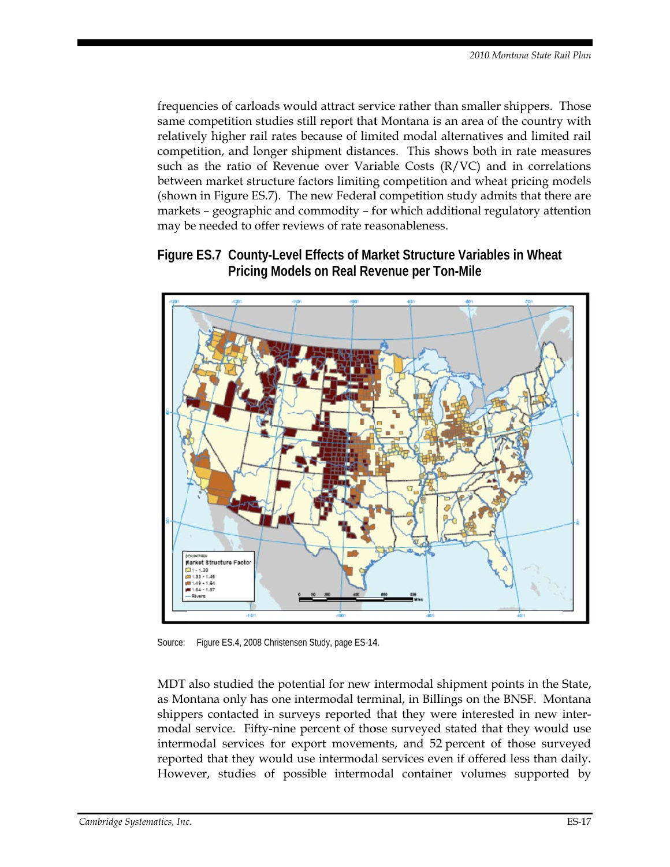frequencies of carloads would attract service rather than smaller shippers. Those same competition studies still report that Montana is an area of the country with relatively higher rail rates because of limited modal alternatives and limited rail competition, and longer shipment distances. This shows both in rate measures such as the ratio of Revenue over Variable Costs  $(R/VC)$  and in correlations between market structure factors limiting competition and wheat pricing models (shown in Figure ES.7). The new Federal competition study admits that there are markets - geographic and commodity - for which additional regulatory attention may be needed to offer reviews of rate reasonableness.

### Figure ES.7 County-Level Effects of Market Structure Variables in Wheat Pricing Models on Real Revenue per Ton-Mile



Source: Figure ES.4, 2008 Christensen Study, page ES-14.

MDT also studied the potential for new intermodal shipment points in the State, as Montana only has one intermodal terminal, in Billings on the BNSF. Montana shippers contacted in surveys reported that they were interested in new intermodal service. Fifty-nine percent of those surveyed stated that they would use intermodal services for export movements, and 52 percent of those surveyed reported that they would use intermodal services even if offered less than daily. However, studies of possible intermodal container volumes supported by